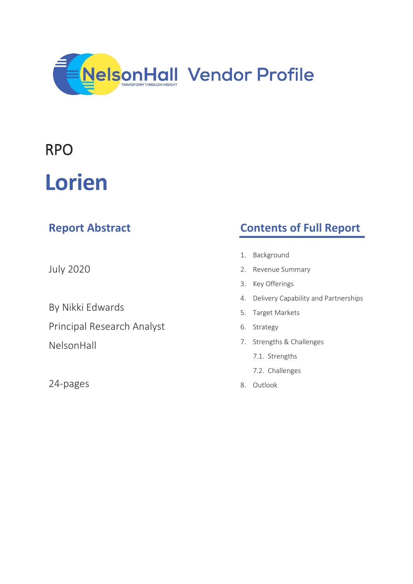

# RPO

# **Lorien**

| <b>Report Abstract</b>            | <b>Contents of Full Report</b>             |
|-----------------------------------|--------------------------------------------|
|                                   | Background<br>1.                           |
| <b>July 2020</b>                  | Revenue Summary<br>2.                      |
|                                   | Key Offerings<br>3.                        |
| By Nikki Edwards                  | Delivery Capability and Partnerships<br>4. |
|                                   | Target Markets<br>5.                       |
| <b>Principal Research Analyst</b> | Strategy<br>6.                             |
| NelsonHall                        | Strengths & Challenges<br>7.               |
|                                   | 7.1. Strengths                             |
|                                   | 7.2. Challenges                            |
| 24-pages                          | Outlook<br>8.                              |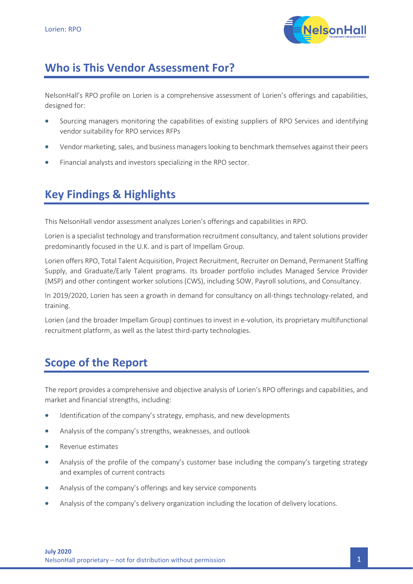

## **Who is This Vendor Assessment For?**

NelsonHall's RPO profile on Lorien is a comprehensive assessment of Lorien's offerings and capabilities, designed for:

- Sourcing managers monitoring the capabilities of existing suppliers of RPO Services and identifying vendor suitability for RPO services RFPs
- Vendor marketing, sales, and business managers looking to benchmark themselves against their peers
- Financial analysts and investors specializing in the RPO sector.

## **Key Findings & Highlights**

This NelsonHall vendor assessment analyzes Lorien's offerings and capabilities in RPO.

Lorien is a specialist technology and transformation recruitment consultancy, and talent solutions provider predominantly focused in the U.K. and is part of Impellam Group.

Lorien offers RPO, Total Talent Acquisition, Project Recruitment, Recruiter on Demand, Permanent Staffing Supply, and Graduate/Early Talent programs. Its broader portfolio includes Managed Service Provider (MSP) and other contingent worker solutions (CWS), including SOW, Payroll solutions, and Consultancy.

In 2019/2020, Lorien has seen a growth in demand for consultancy on all-things technology-related, and training.

Lorien (and the broader Impellam Group) continues to invest in e-volution, its proprietary multifunctional recruitment platform, as well as the latest third-party technologies.

## **Scope of the Report**

The report provides a comprehensive and objective analysis of Lorien's RPO offerings and capabilities, and market and financial strengths, including:

- Identification of the company's strategy, emphasis, and new developments
- Analysis of the company's strengths, weaknesses, and outlook
- Revenue estimates
- Analysis of the profile of the company's customer base including the company's targeting strategy and examples of current contracts
- Analysis of the company's offerings and key service components
- Analysis of the company's delivery organization including the location of delivery locations.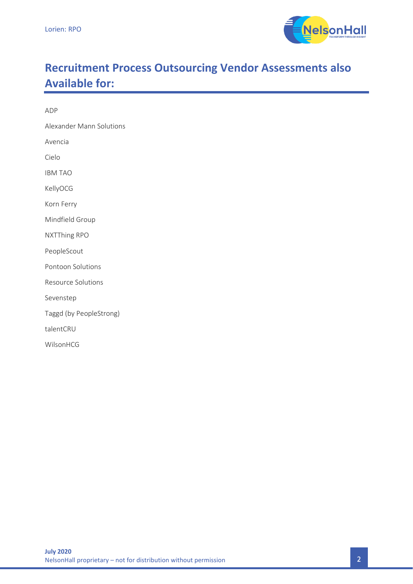

# **Recruitment Process Outsourcing Vendor Assessments also Available for:**

ADP

Alexander Mann Solutions

Avencia

Cielo

IBM TAO

KellyOCG

Korn Ferry

Mindfield Group

NXTThing RPO

PeopleScout

Pontoon Solutions

Resource Solutions

Sevenstep

Taggd (by PeopleStrong)

talentCRU

WilsonHCG